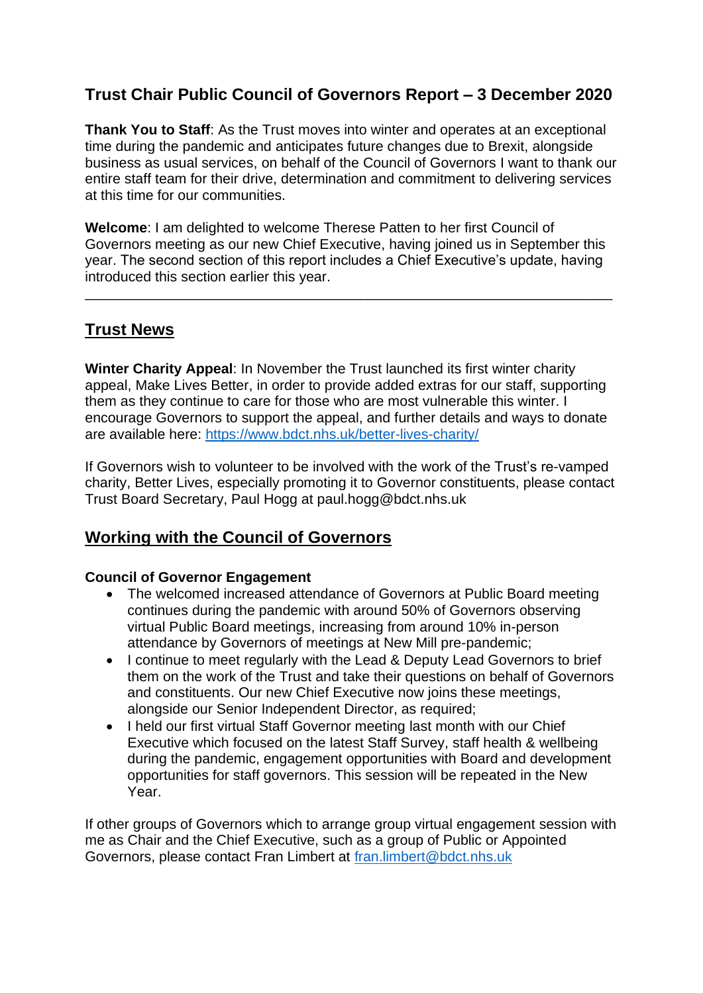## **Trust Chair Public Council of Governors Report – 3 December 2020**

**Thank You to Staff**: As the Trust moves into winter and operates at an exceptional time during the pandemic and anticipates future changes due to Brexit, alongside business as usual services, on behalf of the Council of Governors I want to thank our entire staff team for their drive, determination and commitment to delivering services at this time for our communities.

**Welcome**: I am delighted to welcome Therese Patten to her first Council of Governors meeting as our new Chief Executive, having joined us in September this year. The second section of this report includes a Chief Executive's update, having introduced this section earlier this year.

\_\_\_\_\_\_\_\_\_\_\_\_\_\_\_\_\_\_\_\_\_\_\_\_\_\_\_\_\_\_\_\_\_\_\_\_\_\_\_\_\_\_\_\_\_\_\_\_\_\_\_\_\_\_\_\_\_\_\_\_\_\_\_\_\_\_\_

## **Trust News**

**Winter Charity Appeal**: In November the Trust launched its first winter charity appeal, Make Lives Better, in order to provide added extras for our staff, supporting them as they continue to care for those who are most vulnerable this winter. I encourage Governors to support the appeal, and further details and ways to donate are available here:<https://www.bdct.nhs.uk/better-lives-charity/>

If Governors wish to volunteer to be involved with the work of the Trust's re-vamped charity, Better Lives, especially promoting it to Governor constituents, please contact Trust Board Secretary, Paul Hogg at paul.hogg@bdct.nhs.uk

## **Working with the Council of Governors**

#### **Council of Governor Engagement**

- The welcomed increased attendance of Governors at Public Board meeting continues during the pandemic with around 50% of Governors observing virtual Public Board meetings, increasing from around 10% in-person attendance by Governors of meetings at New Mill pre-pandemic;
- I continue to meet regularly with the Lead & Deputy Lead Governors to brief them on the work of the Trust and take their questions on behalf of Governors and constituents. Our new Chief Executive now joins these meetings, alongside our Senior Independent Director, as required;
- I held our first virtual Staff Governor meeting last month with our Chief Executive which focused on the latest Staff Survey, staff health & wellbeing during the pandemic, engagement opportunities with Board and development opportunities for staff governors. This session will be repeated in the New Year.

If other groups of Governors which to arrange group virtual engagement session with me as Chair and the Chief Executive, such as a group of Public or Appointed Governors, please contact Fran Limbert at [fran.limbert@bdct.nhs.uk](mailto:fran.limbert@bdct.nhs.uk)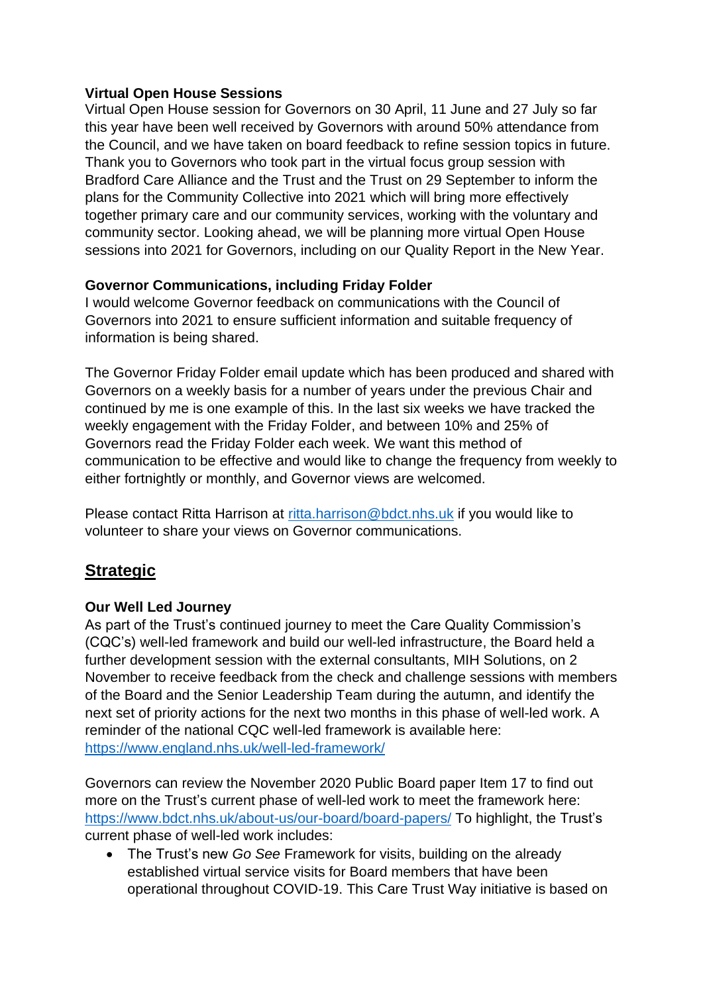### **Virtual Open House Sessions**

Virtual Open House session for Governors on 30 April, 11 June and 27 July so far this year have been well received by Governors with around 50% attendance from the Council, and we have taken on board feedback to refine session topics in future. Thank you to Governors who took part in the virtual focus group session with Bradford Care Alliance and the Trust and the Trust on 29 September to inform the plans for the Community Collective into 2021 which will bring more effectively together primary care and our community services, working with the voluntary and community sector. Looking ahead, we will be planning more virtual Open House sessions into 2021 for Governors, including on our Quality Report in the New Year.

### **Governor Communications, including Friday Folder**

I would welcome Governor feedback on communications with the Council of Governors into 2021 to ensure sufficient information and suitable frequency of information is being shared.

The Governor Friday Folder email update which has been produced and shared with Governors on a weekly basis for a number of years under the previous Chair and continued by me is one example of this. In the last six weeks we have tracked the weekly engagement with the Friday Folder, and between 10% and 25% of Governors read the Friday Folder each week. We want this method of communication to be effective and would like to change the frequency from weekly to either fortnightly or monthly, and Governor views are welcomed.

Please contact Ritta Harrison at [ritta.harrison@bdct.nhs.uk](mailto:ritta.harrison@bdct.nhs.uk) if you would like to volunteer to share your views on Governor communications.

## **Strategic**

### **Our Well Led Journey**

As part of the Trust's continued journey to meet the Care Quality Commission's (CQC's) well-led framework and build our well-led infrastructure, the Board held a further development session with the external consultants, MIH Solutions, on 2 November to receive feedback from the check and challenge sessions with members of the Board and the Senior Leadership Team during the autumn, and identify the next set of priority actions for the next two months in this phase of well-led work. A reminder of the national CQC well-led framework is available here: <https://www.england.nhs.uk/well-led-framework/>

Governors can review the November 2020 Public Board paper Item 17 to find out more on the Trust's current phase of well-led work to meet the framework here: <https://www.bdct.nhs.uk/about-us/our-board/board-papers/> To highlight, the Trust's current phase of well-led work includes:

• The Trust's new *Go See* Framework for visits, building on the already established virtual service visits for Board members that have been operational throughout COVID-19. This Care Trust Way initiative is based on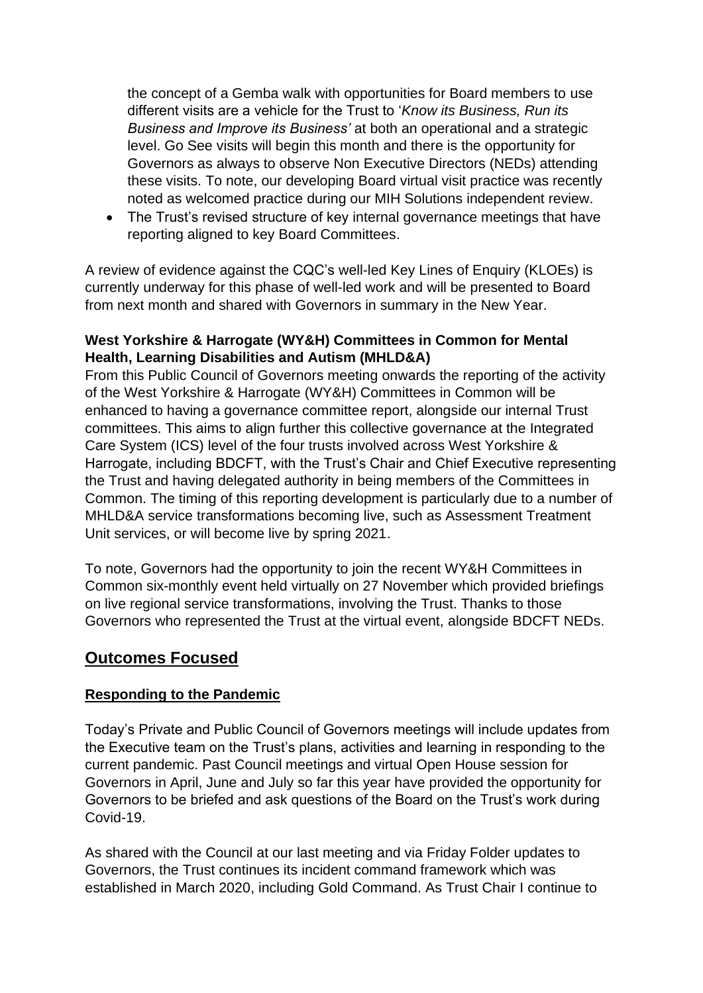the concept of a Gemba walk with opportunities for Board members to use different visits are a vehicle for the Trust to '*Know its Business, Run its Business and Improve its Business'* at both an operational and a strategic level. Go See visits will begin this month and there is the opportunity for Governors as always to observe Non Executive Directors (NEDs) attending these visits. To note, our developing Board virtual visit practice was recently noted as welcomed practice during our MIH Solutions independent review.

• The Trust's revised structure of key internal governance meetings that have reporting aligned to key Board Committees.

A review of evidence against the CQC's well-led Key Lines of Enquiry (KLOEs) is currently underway for this phase of well-led work and will be presented to Board from next month and shared with Governors in summary in the New Year.

#### **West Yorkshire & Harrogate (WY&H) Committees in Common for Mental Health, Learning Disabilities and Autism (MHLD&A)**

From this Public Council of Governors meeting onwards the reporting of the activity of the West Yorkshire & Harrogate (WY&H) Committees in Common will be enhanced to having a governance committee report, alongside our internal Trust committees. This aims to align further this collective governance at the Integrated Care System (ICS) level of the four trusts involved across West Yorkshire & Harrogate, including BDCFT, with the Trust's Chair and Chief Executive representing the Trust and having delegated authority in being members of the Committees in Common. The timing of this reporting development is particularly due to a number of MHLD&A service transformations becoming live, such as Assessment Treatment Unit services, or will become live by spring 2021.

To note, Governors had the opportunity to join the recent WY&H Committees in Common six-monthly event held virtually on 27 November which provided briefings on live regional service transformations, involving the Trust. Thanks to those Governors who represented the Trust at the virtual event, alongside BDCFT NEDs.

## **Outcomes Focused**

#### **Responding to the Pandemic**

Today's Private and Public Council of Governors meetings will include updates from the Executive team on the Trust's plans, activities and learning in responding to the current pandemic. Past Council meetings and virtual Open House session for Governors in April, June and July so far this year have provided the opportunity for Governors to be briefed and ask questions of the Board on the Trust's work during Covid-19.

As shared with the Council at our last meeting and via Friday Folder updates to Governors, the Trust continues its incident command framework which was established in March 2020, including Gold Command. As Trust Chair I continue to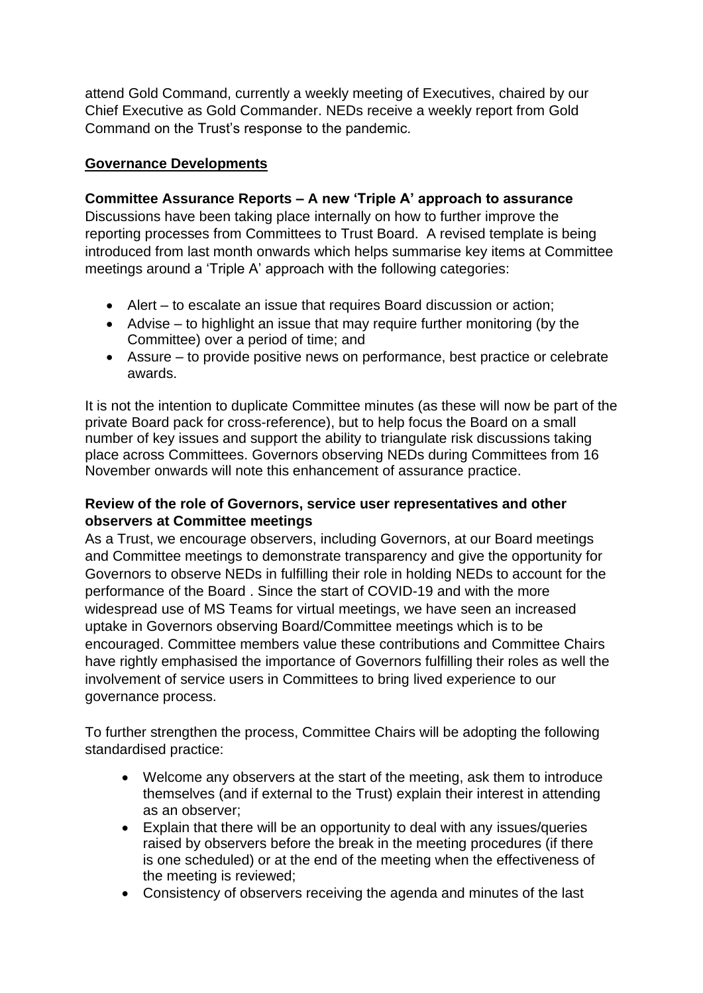attend Gold Command, currently a weekly meeting of Executives, chaired by our Chief Executive as Gold Commander. NEDs receive a weekly report from Gold Command on the Trust's response to the pandemic.

### **Governance Developments**

### **Committee Assurance Reports – A new 'Triple A' approach to assurance**

Discussions have been taking place internally on how to further improve the reporting processes from Committees to Trust Board. A revised template is being introduced from last month onwards which helps summarise key items at Committee meetings around a 'Triple A' approach with the following categories:

- Alert to escalate an issue that requires Board discussion or action;
- Advise to highlight an issue that may require further monitoring (by the Committee) over a period of time; and
- Assure to provide positive news on performance, best practice or celebrate awards.

It is not the intention to duplicate Committee minutes (as these will now be part of the private Board pack for cross-reference), but to help focus the Board on a small number of key issues and support the ability to triangulate risk discussions taking place across Committees. Governors observing NEDs during Committees from 16 November onwards will note this enhancement of assurance practice.

#### **Review of the role of Governors, service user representatives and other observers at Committee meetings**

As a Trust, we encourage observers, including Governors, at our Board meetings and Committee meetings to demonstrate transparency and give the opportunity for Governors to observe NEDs in fulfilling their role in holding NEDs to account for the performance of the Board . Since the start of COVID-19 and with the more widespread use of MS Teams for virtual meetings, we have seen an increased uptake in Governors observing Board/Committee meetings which is to be encouraged. Committee members value these contributions and Committee Chairs have rightly emphasised the importance of Governors fulfilling their roles as well the involvement of service users in Committees to bring lived experience to our governance process.

To further strengthen the process, Committee Chairs will be adopting the following standardised practice:

- Welcome any observers at the start of the meeting, ask them to introduce themselves (and if external to the Trust) explain their interest in attending as an observer;
- Explain that there will be an opportunity to deal with any issues/queries raised by observers before the break in the meeting procedures (if there is one scheduled) or at the end of the meeting when the effectiveness of the meeting is reviewed;
- Consistency of observers receiving the agenda and minutes of the last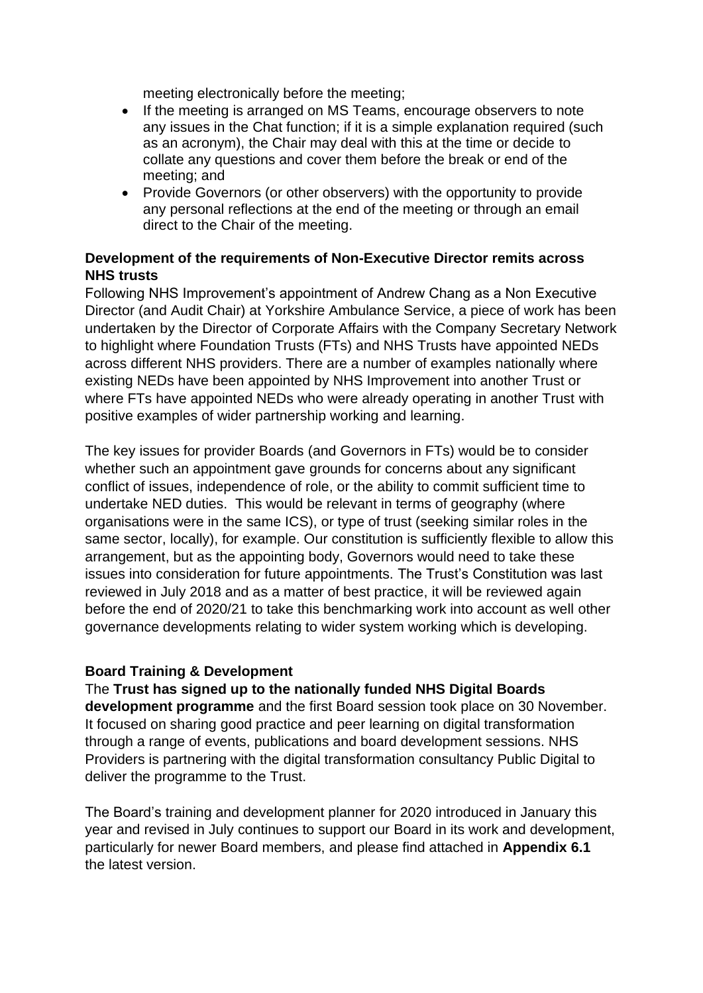meeting electronically before the meeting;

- If the meeting is arranged on MS Teams, encourage observers to note any issues in the Chat function; if it is a simple explanation required (such as an acronym), the Chair may deal with this at the time or decide to collate any questions and cover them before the break or end of the meeting; and
- Provide Governors (or other observers) with the opportunity to provide any personal reflections at the end of the meeting or through an email direct to the Chair of the meeting.

#### **Development of the requirements of Non-Executive Director remits across NHS trusts**

Following NHS Improvement's appointment of Andrew Chang as a Non Executive Director (and Audit Chair) at Yorkshire Ambulance Service, a piece of work has been undertaken by the Director of Corporate Affairs with the Company Secretary Network to highlight where Foundation Trusts (FTs) and NHS Trusts have appointed NEDs across different NHS providers. There are a number of examples nationally where existing NEDs have been appointed by NHS Improvement into another Trust or where FTs have appointed NEDs who were already operating in another Trust with positive examples of wider partnership working and learning.

The key issues for provider Boards (and Governors in FTs) would be to consider whether such an appointment gave grounds for concerns about any significant conflict of issues, independence of role, or the ability to commit sufficient time to undertake NED duties. This would be relevant in terms of geography (where organisations were in the same ICS), or type of trust (seeking similar roles in the same sector, locally), for example. Our constitution is sufficiently flexible to allow this arrangement, but as the appointing body, Governors would need to take these issues into consideration for future appointments. The Trust's Constitution was last reviewed in July 2018 and as a matter of best practice, it will be reviewed again before the end of 2020/21 to take this benchmarking work into account as well other governance developments relating to wider system working which is developing.

#### **Board Training & Development**

#### The **Trust has signed up to the nationally funded NHS Digital Boards**

**development programme** and the first Board session took place on 30 November. It focused on sharing good practice and peer learning on digital transformation through a range of events, publications and board development sessions. NHS Providers is partnering with the digital transformation consultancy Public Digital to deliver the programme to the Trust.

The Board's training and development planner for 2020 introduced in January this year and revised in July continues to support our Board in its work and development, particularly for newer Board members, and please find attached in **Appendix 6.1** the latest version.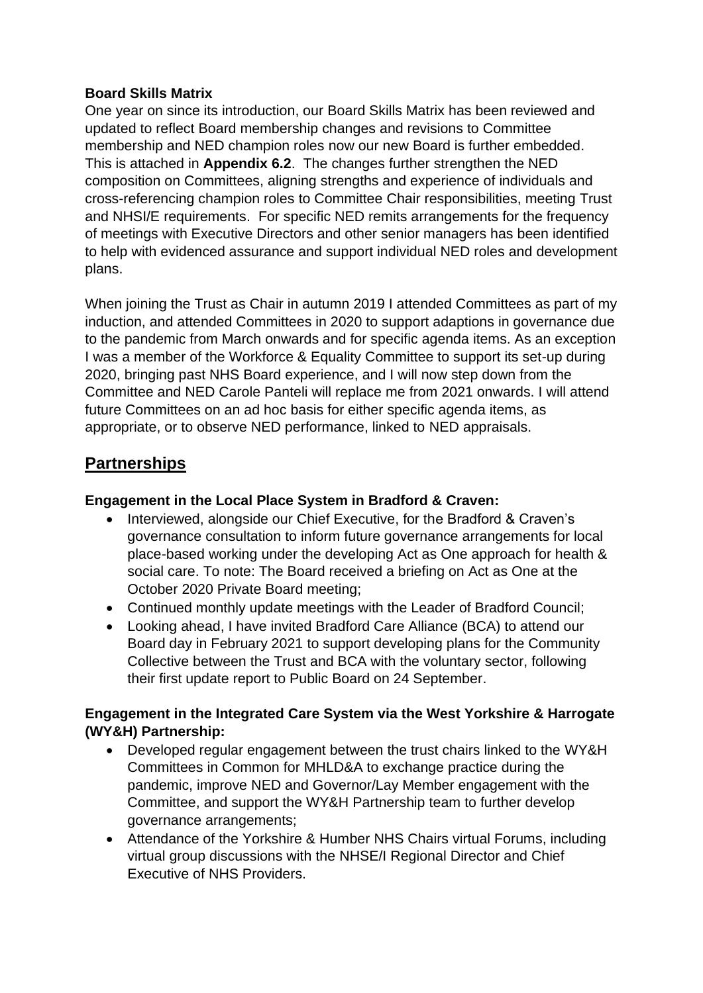### **Board Skills Matrix**

One year on since its introduction, our Board Skills Matrix has been reviewed and updated to reflect Board membership changes and revisions to Committee membership and NED champion roles now our new Board is further embedded. This is attached in **Appendix 6.2**. The changes further strengthen the NED composition on Committees, aligning strengths and experience of individuals and cross-referencing champion roles to Committee Chair responsibilities, meeting Trust and NHSI/E requirements. For specific NED remits arrangements for the frequency of meetings with Executive Directors and other senior managers has been identified to help with evidenced assurance and support individual NED roles and development plans.

When joining the Trust as Chair in autumn 2019 I attended Committees as part of my induction, and attended Committees in 2020 to support adaptions in governance due to the pandemic from March onwards and for specific agenda items. As an exception I was a member of the Workforce & Equality Committee to support its set-up during 2020, bringing past NHS Board experience, and I will now step down from the Committee and NED Carole Panteli will replace me from 2021 onwards. I will attend future Committees on an ad hoc basis for either specific agenda items, as appropriate, or to observe NED performance, linked to NED appraisals.

## **Partnerships**

### **Engagement in the Local Place System in Bradford & Craven:**

- Interviewed, alongside our Chief Executive, for the Bradford & Craven's governance consultation to inform future governance arrangements for local place-based working under the developing Act as One approach for health & social care. To note: The Board received a briefing on Act as One at the October 2020 Private Board meeting;
- Continued monthly update meetings with the Leader of Bradford Council;
- Looking ahead, I have invited Bradford Care Alliance (BCA) to attend our Board day in February 2021 to support developing plans for the Community Collective between the Trust and BCA with the voluntary sector, following their first update report to Public Board on 24 September.

### **Engagement in the Integrated Care System via the West Yorkshire & Harrogate (WY&H) Partnership:**

- Developed regular engagement between the trust chairs linked to the WY&H Committees in Common for MHLD&A to exchange practice during the pandemic, improve NED and Governor/Lay Member engagement with the Committee, and support the WY&H Partnership team to further develop governance arrangements;
- Attendance of the Yorkshire & Humber NHS Chairs virtual Forums, including virtual group discussions with the NHSE/I Regional Director and Chief Executive of NHS Providers.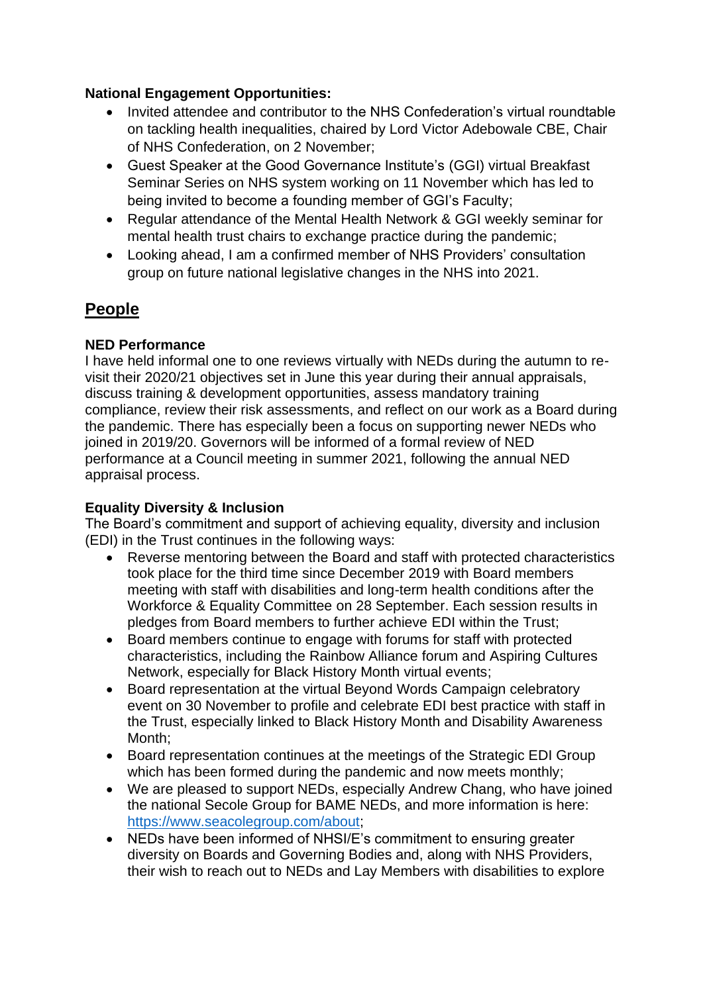#### **National Engagement Opportunities:**

- Invited attendee and contributor to the NHS Confederation's virtual roundtable on tackling health inequalities, chaired by Lord Victor Adebowale CBE, Chair of NHS Confederation, on 2 November;
- Guest Speaker at the Good Governance Institute's (GGI) virtual Breakfast Seminar Series on NHS system working on 11 November which has led to being invited to become a founding member of GGI's Faculty;
- Regular attendance of the Mental Health Network & GGI weekly seminar for mental health trust chairs to exchange practice during the pandemic;
- Looking ahead, I am a confirmed member of NHS Providers' consultation group on future national legislative changes in the NHS into 2021.

## **People**

### **NED Performance**

I have held informal one to one reviews virtually with NEDs during the autumn to revisit their 2020/21 objectives set in June this year during their annual appraisals, discuss training & development opportunities, assess mandatory training compliance, review their risk assessments, and reflect on our work as a Board during the pandemic. There has especially been a focus on supporting newer NEDs who joined in 2019/20. Governors will be informed of a formal review of NED performance at a Council meeting in summer 2021, following the annual NED appraisal process.

### **Equality Diversity & Inclusion**

The Board's commitment and support of achieving equality, diversity and inclusion (EDI) in the Trust continues in the following ways:

- Reverse mentoring between the Board and staff with protected characteristics took place for the third time since December 2019 with Board members meeting with staff with disabilities and long-term health conditions after the Workforce & Equality Committee on 28 September. Each session results in pledges from Board members to further achieve EDI within the Trust;
- Board members continue to engage with forums for staff with protected characteristics, including the Rainbow Alliance forum and Aspiring Cultures Network, especially for Black History Month virtual events;
- Board representation at the virtual Beyond Words Campaign celebratory event on 30 November to profile and celebrate EDI best practice with staff in the Trust, especially linked to Black History Month and Disability Awareness Month;
- Board representation continues at the meetings of the Strategic EDI Group which has been formed during the pandemic and now meets monthly;
- We are pleased to support NEDs, especially Andrew Chang, who have joined the national Secole Group for BAME NEDs, and more information is here: [https://www.seacolegroup.com/about;](https://www.seacolegroup.com/about)
- NEDs have been informed of NHSI/E's commitment to ensuring greater diversity on Boards and Governing Bodies and, along with NHS Providers, their wish to reach out to NEDs and Lay Members with disabilities to explore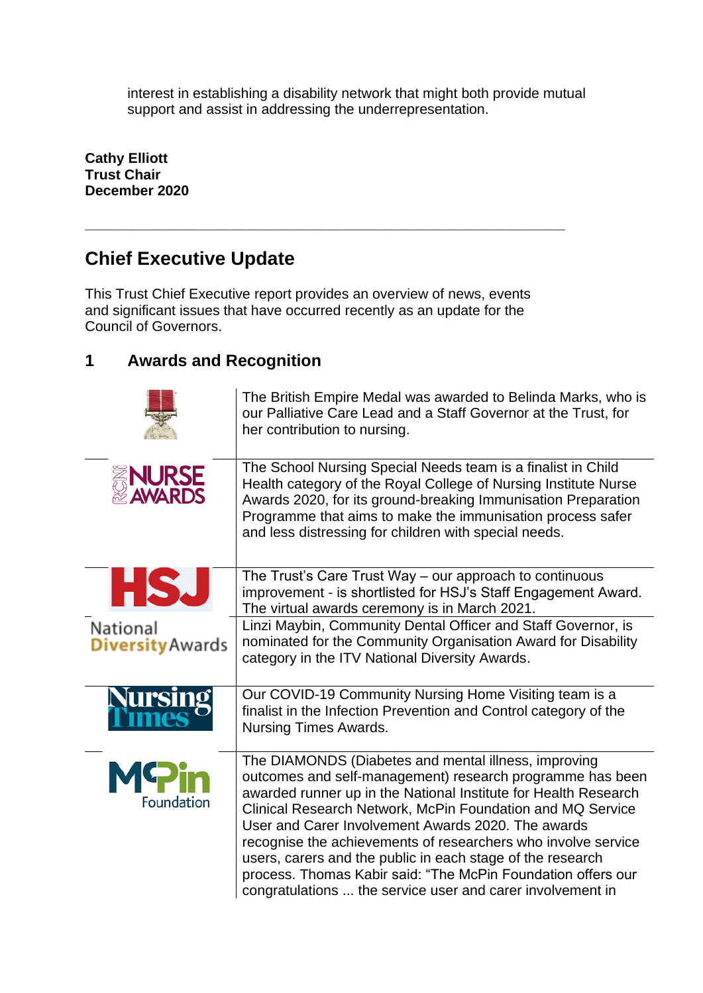interest in establishing a disability network that might both provide mutual support and assist in addressing the underrepresentation.

**Cathy Elliott Trust Chair December 2020**

# **Chief Executive Update**

This Trust Chief Executive report provides an overview of news, events and significant issues that have occurred recently as an update for the Council of Governors.

**\_\_\_\_\_\_\_\_\_\_\_\_\_\_\_\_\_\_\_\_\_\_\_\_\_\_\_\_\_\_\_\_\_\_\_\_\_\_\_\_\_\_\_\_\_\_\_\_\_\_\_\_\_\_\_\_\_\_\_\_\_**

## **1 Awards and Recognition**

|                                     | The British Empire Medal was awarded to Belinda Marks, who is<br>our Palliative Care Lead and a Staff Governor at the Trust, for<br>her contribution to nursing.                                                                                                                                                                                                                                                                                                                                                                                                      |
|-------------------------------------|-----------------------------------------------------------------------------------------------------------------------------------------------------------------------------------------------------------------------------------------------------------------------------------------------------------------------------------------------------------------------------------------------------------------------------------------------------------------------------------------------------------------------------------------------------------------------|
| <b>ENURSE<br/>EXPANARDS</b>         | The School Nursing Special Needs team is a finalist in Child<br>Health category of the Royal College of Nursing Institute Nurse<br>Awards 2020, for its ground-breaking Immunisation Preparation<br>Programme that aims to make the immunisation process safer<br>and less distressing for children with special needs.                                                                                                                                                                                                                                               |
| ارد                                 | The Trust's Care Trust Way - our approach to continuous<br>improvement - is shortlisted for HSJ's Staff Engagement Award.<br>The virtual awards ceremony is in March 2021.                                                                                                                                                                                                                                                                                                                                                                                            |
| National<br><b>Diversity Awards</b> | Linzi Maybin, Community Dental Officer and Staff Governor, is<br>nominated for the Community Organisation Award for Disability<br>category in the ITV National Diversity Awards.                                                                                                                                                                                                                                                                                                                                                                                      |
|                                     | Our COVID-19 Community Nursing Home Visiting team is a<br>finalist in the Infection Prevention and Control category of the<br><b>Nursing Times Awards.</b>                                                                                                                                                                                                                                                                                                                                                                                                            |
| Foundation                          | The DIAMONDS (Diabetes and mental illness, improving<br>outcomes and self-management) research programme has been<br>awarded runner up in the National Institute for Health Research<br>Clinical Research Network, McPin Foundation and MQ Service<br>User and Carer Involvement Awards 2020. The awards<br>recognise the achievements of researchers who involve service<br>users, carers and the public in each stage of the research<br>process. Thomas Kabir said: "The McPin Foundation offers our<br>congratulations  the service user and carer involvement in |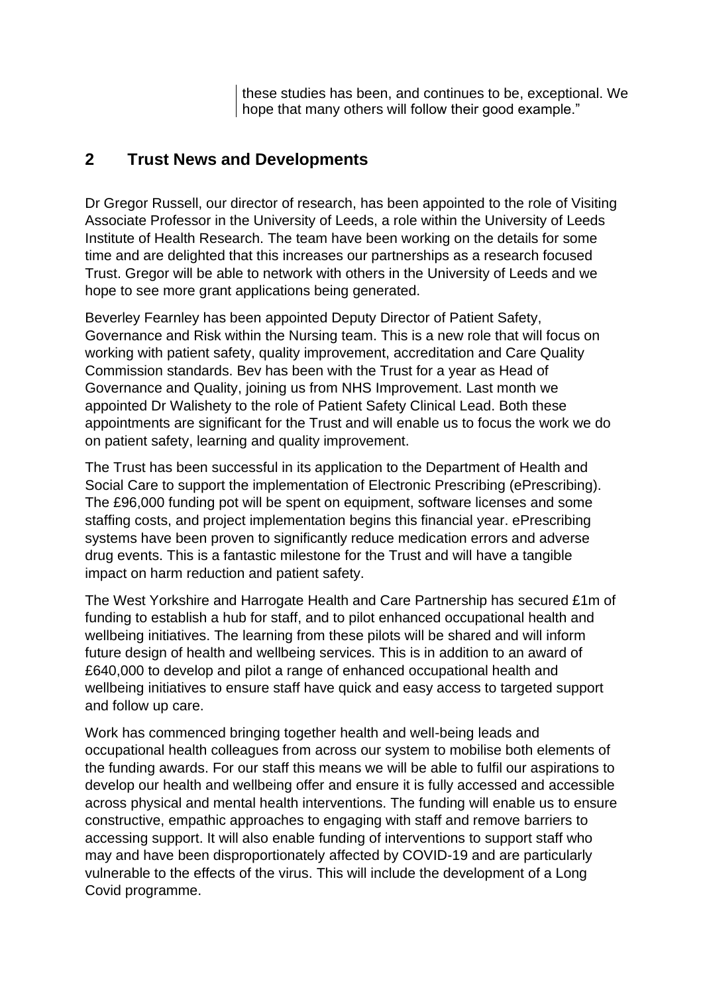these studies has been, and continues to be, exceptional. We hope that many others will follow their good example."

## **2 Trust News and Developments**

Dr Gregor Russell, our director of research, has been appointed to the role of Visiting Associate Professor in the University of Leeds, a role within the University of Leeds Institute of Health Research. The team have been working on the details for some time and are delighted that this increases our partnerships as a research focused Trust. Gregor will be able to network with others in the University of Leeds and we hope to see more grant applications being generated.

Beverley Fearnley has been appointed Deputy Director of Patient Safety, Governance and Risk within the Nursing team. This is a new role that will focus on working with patient safety, quality improvement, accreditation and Care Quality Commission standards. Bev has been with the Trust for a year as Head of Governance and Quality, joining us from NHS Improvement. Last month we appointed Dr Walishety to the role of Patient Safety Clinical Lead. Both these appointments are significant for the Trust and will enable us to focus the work we do on patient safety, learning and quality improvement.

The Trust has been successful in its application to the Department of Health and Social Care to support the implementation of Electronic Prescribing (ePrescribing). The £96,000 funding pot will be spent on equipment, software licenses and some staffing costs, and project implementation begins this financial year. ePrescribing systems have been proven to significantly reduce medication errors and adverse drug events. This is a fantastic milestone for the Trust and will have a tangible impact on harm reduction and patient safety.

The West Yorkshire and Harrogate Health and Care Partnership has secured £1m of funding to establish a hub for staff, and to pilot enhanced occupational health and wellbeing initiatives. The learning from these pilots will be shared and will inform future design of health and wellbeing services. This is in addition to an award of £640,000 to develop and pilot a range of enhanced occupational health and wellbeing initiatives to ensure staff have quick and easy access to targeted support and follow up care.

Work has commenced bringing together health and well-being leads and occupational health colleagues from across our system to mobilise both elements of the funding awards. For our staff this means we will be able to fulfil our aspirations to develop our health and wellbeing offer and ensure it is fully accessed and accessible across physical and mental health interventions. The funding will enable us to ensure constructive, empathic approaches to engaging with staff and remove barriers to accessing support. It will also enable funding of interventions to support staff who may and have been disproportionately affected by COVID-19 and are particularly vulnerable to the effects of the virus. This will include the development of a Long Covid programme.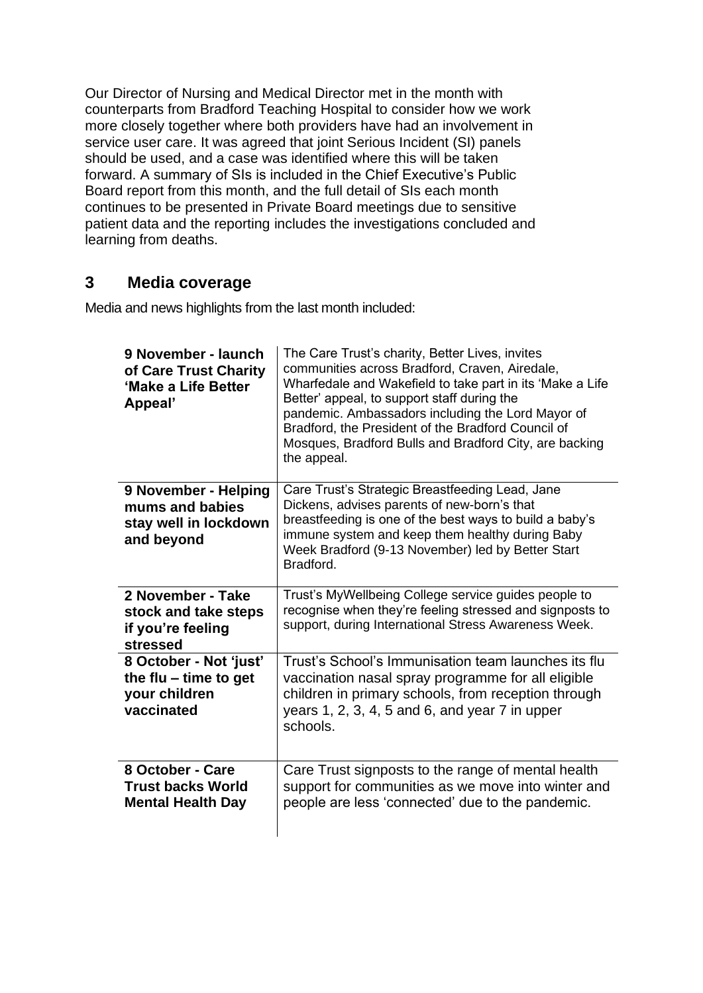Our Director of Nursing and Medical Director met in the month with counterparts from Bradford Teaching Hospital to consider how we work more closely together where both providers have had an involvement in service user care. It was agreed that joint Serious Incident (SI) panels should be used, and a case was identified where this will be taken forward. A summary of SIs is included in the Chief Executive's Public Board report from this month, and the full detail of SIs each month continues to be presented in Private Board meetings due to sensitive patient data and the reporting includes the investigations concluded and learning from deaths.

## **3 Media coverage**

Media and news highlights from the last month included:

| 9 November - launch<br>of Care Trust Charity<br>'Make a Life Better<br>Appeal'   | The Care Trust's charity, Better Lives, invites<br>communities across Bradford, Craven, Airedale,<br>Wharfedale and Wakefield to take part in its 'Make a Life<br>Better' appeal, to support staff during the<br>pandemic. Ambassadors including the Lord Mayor of<br>Bradford, the President of the Bradford Council of<br>Mosques, Bradford Bulls and Bradford City, are backing<br>the appeal. |
|----------------------------------------------------------------------------------|---------------------------------------------------------------------------------------------------------------------------------------------------------------------------------------------------------------------------------------------------------------------------------------------------------------------------------------------------------------------------------------------------|
| 9 November - Helping<br>mums and babies<br>stay well in lockdown<br>and beyond   | Care Trust's Strategic Breastfeeding Lead, Jane<br>Dickens, advises parents of new-born's that<br>breastfeeding is one of the best ways to build a baby's<br>immune system and keep them healthy during Baby<br>Week Bradford (9-13 November) led by Better Start<br>Bradford.                                                                                                                    |
| 2 November - Take<br>stock and take steps<br>if you're feeling<br>stressed       | Trust's MyWellbeing College service guides people to<br>recognise when they're feeling stressed and signposts to<br>support, during International Stress Awareness Week.                                                                                                                                                                                                                          |
| 8 October - Not 'just'<br>the flu $-$ time to get<br>your children<br>vaccinated | Trust's School's Immunisation team launches its flu<br>vaccination nasal spray programme for all eligible<br>children in primary schools, from reception through<br>years $1, 2, 3, 4, 5$ and $6$ , and year $7$ in upper<br>schools.                                                                                                                                                             |
| 8 October - Care<br><b>Trust backs World</b><br><b>Mental Health Day</b>         | Care Trust signposts to the range of mental health<br>support for communities as we move into winter and<br>people are less 'connected' due to the pandemic.                                                                                                                                                                                                                                      |